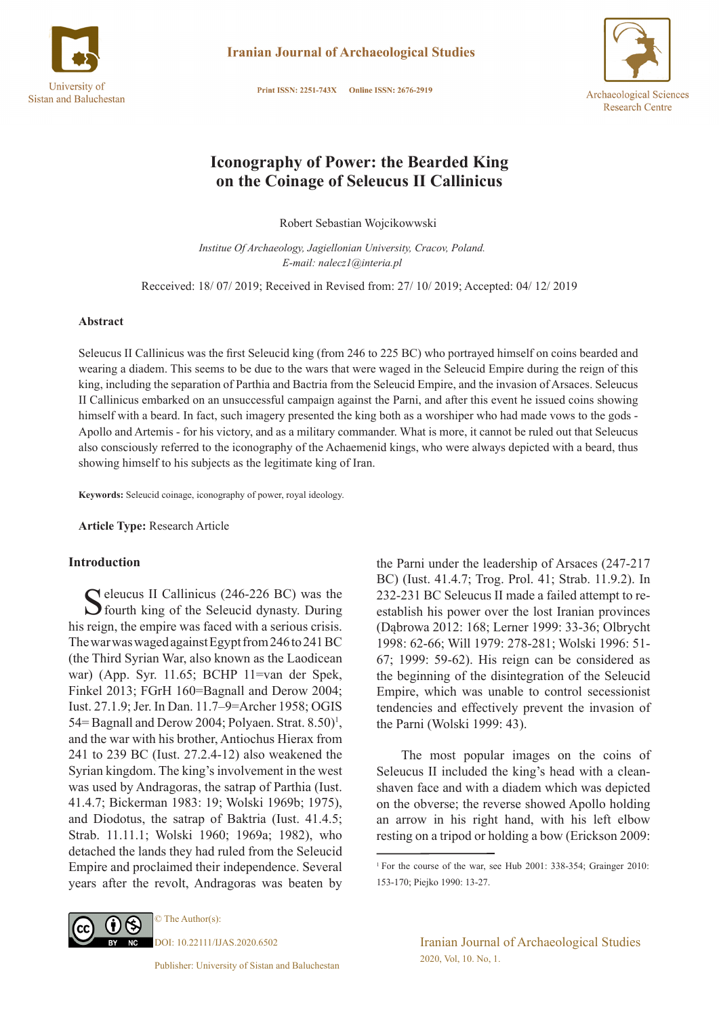

**Iranian Journal of Archaeological Studies** 

Print ISSN: 2251-743X Online ISSN: 2676-2919



# **Iconography of Power: the Bearded King on the Coinage of Seleucus II Callinicus**

Robert Sebastian Wojcikowwski

*Institue Of Archaeology, Jagiellonian University, Cracov, Poland. E-mail: nalecz1@interia.pl*

Recceived: 18/ 07/ 2019; Received in Revised from: 27/ 10/ 2019; Accepted: 04/ 12/ 2019

### **Abstract**

Seleucus II Callinicus was the first Seleucid king (from 246 to 225 BC) who portrayed himself on coins bearded and wearing a diadem. This seems to be due to the wars that were waged in the Seleucid Empire during the reign of this king, including the separation of Parthia and Bactria from the Seleucid Empire, and the invasion of Arsaces. Seleucus II Callinicus embarked on an unsuccessful campaign against the Parni, and after this event he issued coins showing himself with a beard. In fact, such imagery presented the king both as a worshiper who had made vows to the gods - Apollo and Artemis - for his victory, and as a military commander. What is more, it cannot be ruled out that Seleucus also consciously referred to the iconography of the Achaemenid kings, who were always depicted with a beard, thus showing himself to his subjects as the legitimate king of Iran.

**Keywords:** Seleucid coinage, iconography of power, royal ideology.

**Article Type:** Research Article

# **Introduction**

C eleucus II Callinicus (246-226 BC) was the  $\sum$  fourth king of the Seleucid dynasty. During his reign, the empire was faced with a serious crisis. The war was waged against Egypt from 246 to 241 BC (the Third Syrian War, also known as the Laodicean war) (App. Syr. 11.65; BCHP 11=van der Spek, Finkel 2013; FGrH 160=Bagnall and Derow 2004; Iust. 27.1.9; Jer. In Dan. 11.7–9=Archer 1958; OGIS 54 = Bagnall and Derow 2004; Polyaen. Strat. 8.50)<sup>1</sup>, and the war with his brother, Antiochus Hierax from 241 to 239 BC (Iust. 27.2.4-12) also weakened the Syrian kingdom. The king's involvement in the west was used by Andragoras, the satrap of Parthia (Iust. 41.4.7; Bickerman 1983: 19; Wolski 1969b; 1975), and Diodotus, the satrap of Baktria (Iust. 41.4.5; Strab. 11.11.1; Wolski 1960; 1969a; 1982), who detached the lands they had ruled from the Seleucid Empire and proclaimed their independence. Several years after the revolt, Andragoras was beaten by

the Parni under the leadership of Arsaces (247-217 BC) (Iust. 41.4.7; Trog. Prol. 41; Strab. 11.9.2). In 232-231 BC Seleucus II made a failed attempt to reestablish his power over the lost Iranian provinces (Dąbrowa 2012: 168; Lerner 1999: 33-36; Olbrycht 1998: 62-66; Will 1979: 278-281; Wolski 1996: 51- 67; 1999: 59-62). His reign can be considered as the beginning of the disintegration of the Seleucid Empire, which was unable to control secessionist tendencies and effectively prevent the invasion of the Parni (Wolski 1999: 43).

 The most popular images on the coins of Seleucus II included the king's head with a cleanshaven face and with a diadem which was depicted on the obverse; the reverse showed Apollo holding an arrow in his right hand, with his left elbow resting on a tripod or holding a bow (Erickson 2009:

© The Author(s): DOI: 10.22111/IJAS.2020.6502

Iranian Journal of Archaeological Studies 2020, Vol, 10. No, 1.

<sup>1</sup>For the course of the war, see Hub 2001: 338-354; Grainger 2010: 153-170; Piejko 1990: 13-27.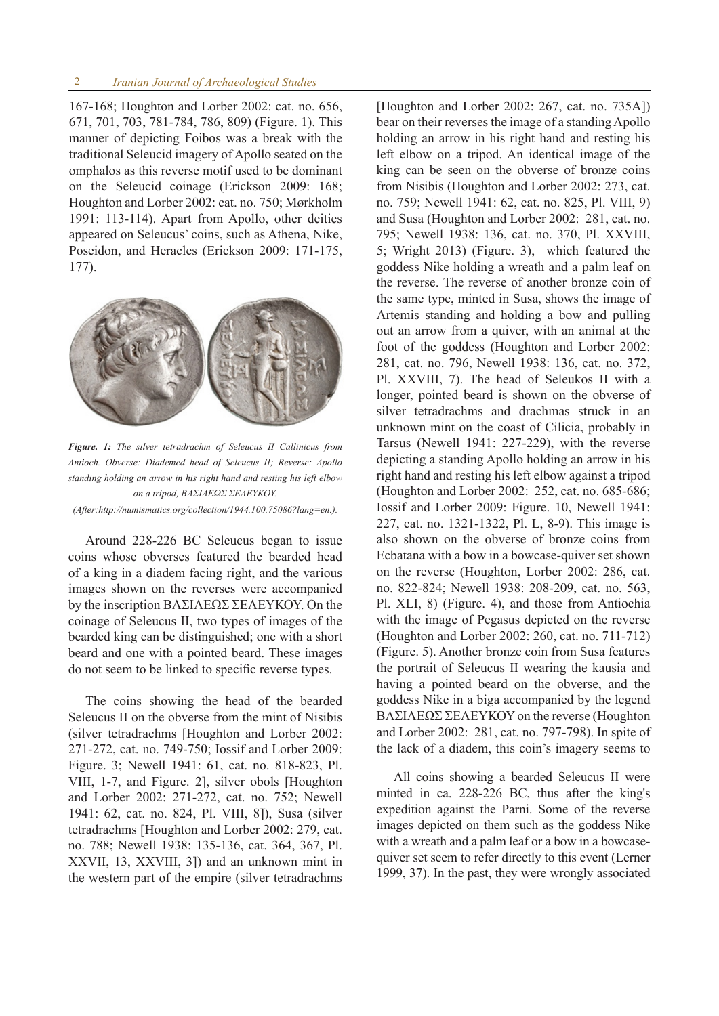### 2 *Iranian Journal of Archaeological Studies*

167-168; Houghton and Lorber 2002: cat. no. 656, 671, 701, 703, 781-784, 786, 809) (Figure. 1). This manner of depicting Foibos was a break with the traditional Seleucid imagery of Apollo seated on the omphalos as this reverse motif used to be dominant on the Seleucid coinage (Erickson 2009: 168; Houghton and Lorber 2002: cat. no. 750; Mørkholm 1991: 113-114). Apart from Apollo, other deities appeared on Seleucus' coins, such as Athena, Nike, Poseidon, and Heracles (Erickson 2009: 171-175, 177).



*Figure. 1: The silver tetradrachm of Seleucus II Callinicus from Antioch. Obverse: Diademed head of Seleucus II; Reverse: Apollo standing holding an arrow in his right hand and resting his left elbow on a tripod, BAΣΙΛΕΩΣ ΣΕΛΕΥΚΟΥ.* 

*(After:http://numismatics.org/collection/1944.100.75086?lang=en.).*

Around 228-226 BC Seleucus began to issue coins whose obverses featured the bearded head of a king in a diadem facing right, and the various images shown on the reverses were accompanied by the inscription ΒΑΣΙΛΕΩΣ ΣΕΛΕΥΚΟΥ. On the coinage of Seleucus II, two types of images of the bearded king can be distinguished; one with a short beard and one with a pointed beard. These images do not seem to be linked to specific reverse types.

The coins showing the head of the bearded Seleucus II on the obverse from the mint of Nisibis (silver tetradrachms [Houghton and Lorber 2002: 271-272, cat. no. 749-750; Iossif and Lorber 2009: Figure. 3; Newell 1941: 61, cat. no. 818-823, Pl. VIII, 1-7, and Figure. 2], silver obols [Houghton and Lorber 2002: 271-272, cat. no. 752; Newell 1941: 62, cat. no. 824, Pl. VIII, 8]), Susa (silver tetradrachms [Houghton and Lorber 2002: 279, cat. no. 788; Newell 1938: 135-136, cat. 364, 367, Pl. XXVII, 13, XXVIII, 3]) and an unknown mint in the western part of the empire (silver tetradrachms [Houghton and Lorber 2002: 267, cat. no. 735A]) bear on their reverses the image of a standing Apollo holding an arrow in his right hand and resting his left elbow on a tripod. An identical image of the king can be seen on the obverse of bronze coins from Nisibis (Houghton and Lorber 2002: 273, cat. no. 759; Newell 1941: 62, cat. no. 825, Pl. VIII, 9) and Susa (Houghton and Lorber 2002: 281, cat. no. 795; Newell 1938: 136, cat. no. 370, Pl. XXVIII, 5; Wright 2013) (Figure. 3), which featured the goddess Nike holding a wreath and a palm leaf on the reverse. The reverse of another bronze coin of the same type, minted in Susa, shows the image of Artemis standing and holding a bow and pulling out an arrow from a quiver, with an animal at the foot of the goddess (Houghton and Lorber 2002: 281, cat. no. 796, Newell 1938: 136, cat. no. 372, Pl. XXVIII, 7). The head of Seleukos II with a longer, pointed beard is shown on the obverse of silver tetradrachms and drachmas struck in an unknown mint on the coast of Cilicia, probably in Tarsus (Newell 1941: 227-229), with the reverse depicting a standing Apollo holding an arrow in his right hand and resting his left elbow against a tripod (Houghton and Lorber 2002: 252, cat. no. 685-686; Iossif and Lorber 2009: Figure. 10, Newell 1941: 227, cat. no. 1321-1322, Pl. L, 8-9). This image is also shown on the obverse of bronze coins from Ecbatana with a bow in a bowcase-quiver set shown on the reverse (Houghton, Lorber 2002: 286, cat. no. 822-824; Newell 1938: 208-209, cat. no. 563, Pl. XLI, 8) (Figure. 4), and those from Antiochia with the image of Pegasus depicted on the reverse (Houghton and Lorber 2002: 260, cat. no. 711-712) (Figure. 5). Another bronze coin from Susa features the portrait of Seleucus II wearing the kausia and having a pointed beard on the obverse, and the goddess Nike in a biga accompanied by the legend ΒΑΣΙΛΕΩΣ ΣΕΛΕΥΚΟΥ on the reverse (Houghton and Lorber 2002: 281, cat. no. 797-798). In spite of the lack of a diadem, this coin's imagery seems to

All coins showing a bearded Seleucus II were minted in ca. 228-226 BC, thus after the king's expedition against the Parni. Some of the reverse images depicted on them such as the goddess Nike with a wreath and a palm leaf or a bow in a bowcasequiver set seem to refer directly to this event (Lerner 1999, 37). In the past, they were wrongly associated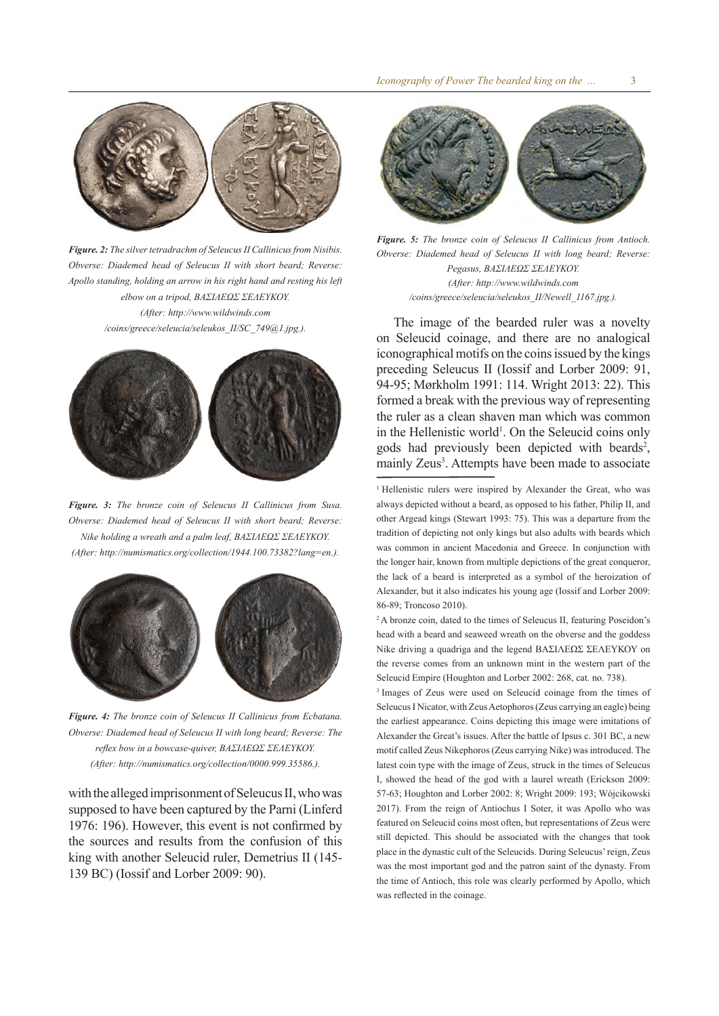

*Figure. 2: The silver tetradrachm of Seleucus II Callinicus from Nisibis. Obverse: Diademed head of Seleucus II with short beard; Reverse: Apollo standing, holding an arrow in his right hand and resting his left elbow on a tripod, BAΣΙΛΕΩΣ ΣΕΛΕΥΚΟΥ. (After: http://www.wildwinds.com /coins/greece/seleucia/seleukos\_II/SC\_749@1.jpg.).*



*Figure. 3: The bronze coin of Seleucus II Callinicus from Susa. Obverse: Diademed head of Seleucus II with short beard; Reverse: Nike holding a wreath and a palm leaf, BAΣΙΛΕΩΣ ΣΕΛΕΥΚΟΥ. (After: http://numismatics.org/collection/1944.100.73382?lang=en.).*



*Figure. 4: The bronze coin of Seleucus II Callinicus from Ecbatana. Obverse: Diademed head of Seleucus II with long beard; Reverse: The reflex bow in a bowcase-quiver, BAΣΙΛΕΩΣ ΣΕΛΕΥΚΟΥ. (After: http://numismatics.org/collection/0000.999.35586.).*

with the alleged imprisonment of Seleucus II, who was supposed to have been captured by the Parni (Linferd 1976: 196). However, this event is not confirmed by the sources and results from the confusion of this king with another Seleucid ruler, Demetrius II (145- 139 BC) (Iossif and Lorber 2009: 90).



*Figure. 5: The bronze coin of Seleucus II Callinicus from Antioch. Obverse: Diademed head of Seleucus II with long beard; Reverse: Pegasus, BAΣΙΛΕΩΣ ΣΕΛΕΥΚΟΥ. (After: http://www.wildwinds.com /coins/greece/seleucia/seleukos\_II/Newell\_1167.jpg.).*

The image of the bearded ruler was a novelty on Seleucid coinage, and there are no analogical iconographical motifs on the coins issued by the kings preceding Seleucus II (Iossif and Lorber 2009: 91, 94-95; Mørkholm 1991: 114. Wright 2013: 22). This formed a break with the previous way of representing the ruler as a clean shaven man which was common in the Hellenistic world<sup>1</sup>. On the Seleucid coins only gods had previously been depicted with beards<sup>2</sup>, mainly Zeus<sup>3</sup>. Attempts have been made to associate

<sup>1</sup> Hellenistic rulers were inspired by Alexander the Great, who was always depicted without a beard, as opposed to his father, Philip II, and other Argead kings (Stewart 1993: 75). This was a departure from the tradition of depicting not only kings but also adults with beards which was common in ancient Macedonia and Greece. In conjunction with the longer hair, known from multiple depictions of the great conqueror, the lack of a beard is interpreted as a symbol of the heroization of Alexander, but it also indicates his young age (Iossif and Lorber 2009: 86-89; Troncoso 2010).

<sup>2</sup> A bronze coin, dated to the times of Seleucus II, featuring Poseidon's head with a beard and seaweed wreath on the obverse and the goddess Nike driving a quadriga and the legend ΒΑΣΙΛΕΩΣ ΣΕΛΕΥΚΟΥ on the reverse comes from an unknown mint in the western part of the Seleucid Empire (Houghton and Lorber 2002: 268, cat. no. 738).

3 Images of Zeus were used on Seleucid coinage from the times of Seleucus I Nicator, with Zeus Aetophoros (Zeus carrying an eagle) being the earliest appearance. Coins depicting this image were imitations of Alexander the Great's issues. After the battle of Ipsus c. 301 BC, a new motif called Zeus Nikephoros (Zeus carrying Nike) was introduced. The latest coin type with the image of Zeus, struck in the times of Seleucus I, showed the head of the god with a laurel wreath (Erickson 2009: 57-63; Houghton and Lorber 2002: 8; Wright 2009: 193; Wójcikowski 2017). From the reign of Antiochus I Soter, it was Apollo who was featured on Seleucid coins most often, but representations of Zeus were still depicted. This should be associated with the changes that took place in the dynastic cult of the Seleucids. During Seleucus' reign, Zeus was the most important god and the patron saint of the dynasty. From the time of Antioch, this role was clearly performed by Apollo, which was reflected in the coinage.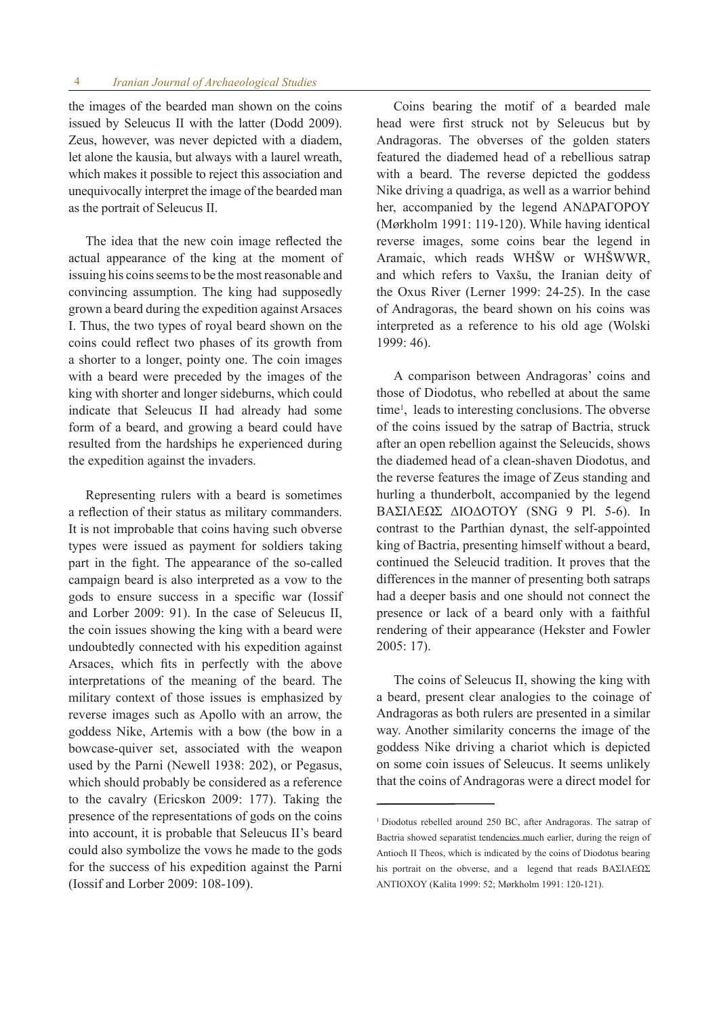the images of the bearded man shown on the coins issued by Seleucus II with the latter (Dodd 2009). Zeus, however, was never depicted with a diadem, let alone the kausia, but always with a laurel wreath, which makes it possible to reject this association and unequivocally interpret the image of the bearded man as the portrait of Seleucus II.

The idea that the new coin image reflected the actual appearance of the king at the moment of issuing his coins seems to be the most reasonable and convincing assumption. The king had supposedly grown a beard during the expedition against Arsaces I. Thus, the two types of royal beard shown on the coins could reflect two phases of its growth from a shorter to a longer, pointy one. The coin images with a beard were preceded by the images of the king with shorter and longer sideburns, which could indicate that Seleucus II had already had some form of a beard, and growing a beard could have resulted from the hardships he experienced during the expedition against the invaders.

Representing rulers with a beard is sometimes a reflection of their status as military commanders. It is not improbable that coins having such obverse types were issued as payment for soldiers taking part in the fight. The appearance of the so-called campaign beard is also interpreted as a vow to the gods to ensure success in a specific war (Iossif and Lorber 2009: 91). In the case of Seleucus II, the coin issues showing the king with a beard were undoubtedly connected with his expedition against Arsaces, which fits in perfectly with the above interpretations of the meaning of the beard. The military context of those issues is emphasized by reverse images such as Apollo with an arrow, the goddess Nike, Artemis with a bow (the bow in a bowcase-quiver set, associated with the weapon used by the Parni (Newell 1938: 202), or Pegasus, which should probably be considered as a reference to the cavalry (Ericskon 2009: 177). Taking the presence of the representations of gods on the coins into account, it is probable that Seleucus II's beard could also symbolize the vows he made to the gods for the success of his expedition against the Parni (Iossif and Lorber 2009: 108-109).

Coins bearing the motif of a bearded male head were first struck not by Seleucus but by Andragoras. The obverses of the golden staters featured the diademed head of a rebellious satrap with a beard. The reverse depicted the goddess Nike driving a quadriga, as well as a warrior behind her, accompanied by the legend ANΔPAΓOPOY (Mørkholm 1991: 119-120). While having identical reverse images, some coins bear the legend in Aramaic, which reads WHŠW or WHŠWWR, and which refers to Vaxšu, the Iranian deity of the Oxus River (Lerner 1999: 24-25). In the case of Andragoras, the beard shown on his coins was interpreted as a reference to his old age (Wolski 1999: 46).

A comparison between Andragoras' coins and those of Diodotus, who rebelled at about the same time<sup>1</sup>, leads to interesting conclusions. The obverse of the coins issued by the satrap of Bactria, struck after an open rebellion against the Seleucids, shows the diademed head of a clean-shaven Diodotus, and the reverse features the image of Zeus standing and hurling a thunderbolt, accompanied by the legend BAΣIΛEΩΣ ΔIOΔOTOY (SNG 9 Pl. 5-6). In contrast to the Parthian dynast, the self-appointed king of Bactria, presenting himself without a beard, continued the Seleucid tradition. It proves that the differences in the manner of presenting both satraps had a deeper basis and one should not connect the presence or lack of a beard only with a faithful rendering of their appearance (Hekster and Fowler 2005: 17).

The coins of Seleucus II, showing the king with a beard, present clear analogies to the coinage of Andragoras as both rulers are presented in a similar way. Another similarity concerns the image of the goddess Nike driving a chariot which is depicted on some coin issues of Seleucus. It seems unlikely that the coins of Andragoras were a direct model for

<sup>1</sup>Diodotus rebelled around 250 BC, after Andragoras. The satrap of Bactria showed separatist tendencies much earlier, during the reign of Antioch II Theos, which is indicated by the coins of Diodotus bearing his portrait on the obverse, and a legend that reads BAΣIΛEΩΣ ANTIOXOY (Kalita 1999: 52; Mørkholm 1991: 120-121).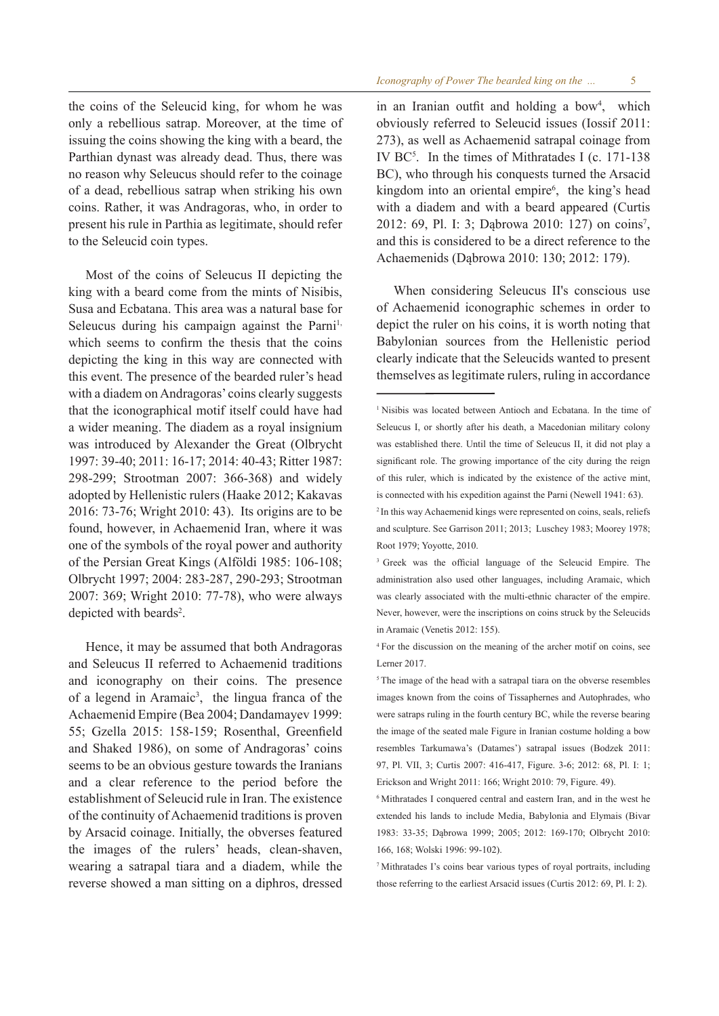the coins of the Seleucid king, for whom he was only a rebellious satrap. Moreover, at the time of issuing the coins showing the king with a beard, the Parthian dynast was already dead. Thus, there was no reason why Seleucus should refer to the coinage of a dead, rebellious satrap when striking his own coins. Rather, it was Andragoras, who, in order to present his rule in Parthia as legitimate, should refer to the Seleucid coin types.

Most of the coins of Seleucus II depicting the king with a beard come from the mints of Nisibis, Susa and Ecbatana. This area was a natural base for Seleucus during his campaign against the Parni<sup>1,</sup> which seems to confirm the thesis that the coins depicting the king in this way are connected with this event. The presence of the bearded ruler's head with a diadem on Andragoras' coins clearly suggests that the iconographical motif itself could have had a wider meaning. The diadem as a royal insignium was introduced by Alexander the Great (Olbrycht 1997: 39-40; 2011: 16-17; 2014: 40-43; Ritter 1987: 298-299; Strootman 2007: 366-368) and widely adopted by Hellenistic rulers (Haake 2012; Kakavas 2016: 73-76; Wright 2010: 43). Its origins are to be found, however, in Achaemenid Iran, where it was one of the symbols of the royal power and authority of the Persian Great Kings (Alföldi 1985: 106-108; Olbrycht 1997; 2004: 283-287, 290-293; Strootman 2007: 369; Wright 2010: 77-78), who were always depicted with beards<sup>2</sup>.

Hence, it may be assumed that both Andragoras and Seleucus II referred to Achaemenid traditions and iconography on their coins. The presence of a legend in Aramaic<sup>3</sup>, the lingua franca of the Achaemenid Empire (Bea 2004; Dandamayev 1999: 55; Gzella 2015: 158-159; Rosenthal, Greenfield and Shaked 1986), on some of Andragoras' coins seems to be an obvious gesture towards the Iranians and a clear reference to the period before the establishment of Seleucid rule in Iran. The existence of the continuity of Achaemenid traditions is proven by Arsacid coinage. Initially, the obverses featured the images of the rulers' heads, clean-shaven, wearing a satrapal tiara and a diadem, while the reverse showed a man sitting on a diphros, dressed

in an Iranian outfit and holding a bow<sup>4</sup>, which obviously referred to Seleucid issues (Iossif 2011: 273), as well as Achaemenid satrapal coinage from IV BC5 . In the times of Mithratades I (c. 171-138 BC), who through his conquests turned the Arsacid kingdom into an oriental empire<sup>6</sup>, the king's head with a diadem and with a beard appeared (Curtis 2012: 69, Pl. I: 3; Dąbrowa 2010: 127) on coins<sup>7</sup>, and this is considered to be a direct reference to the Achaemenids (Dąbrowa 2010: 130; 2012: 179).

When considering Seleucus II's conscious use of Achaemenid iconographic schemes in order to depict the ruler on his coins, it is worth noting that Babylonian sources from the Hellenistic period clearly indicate that the Seleucids wanted to present themselves as legitimate rulers, ruling in accordance

<sup>&</sup>lt;sup>1</sup> Nisibis was located between Antioch and Ecbatana. In the time of Seleucus I, or shortly after his death, a Macedonian military colony was established there. Until the time of Seleucus II, it did not play a significant role. The growing importance of the city during the reign of this ruler, which is indicated by the existence of the active mint, is connected with his expedition against the Parni (Newell 1941: 63).

<sup>2</sup> In this way Achaemenid kings were represented on coins, seals, reliefs and sculpture. See Garrison 2011; 2013; Luschey 1983; Moorey 1978; Root 1979; Yoyotte, 2010.

<sup>3</sup> Greek was the official language of the Seleucid Empire. The administration also used other languages, including Aramaic, which was clearly associated with the multi-ethnic character of the empire. Never, however, were the inscriptions on coins struck by the Seleucids in Aramaic (Venetis 2012: 155).

<sup>4</sup> For the discussion on the meaning of the archer motif on coins, see Lerner 2017.

<sup>&</sup>lt;sup>5</sup> The image of the head with a satrapal tiara on the obverse resembles images known from the coins of Tissaphernes and Autophrades, who were satraps ruling in the fourth century BC, while the reverse bearing the image of the seated male Figure in Iranian costume holding a bow resembles Tarkumawa's (Datames') satrapal issues (Bodzek 2011: 97, Pl. VII, 3; Curtis 2007: 416-417, Figure. 3-6; 2012: 68, Pl. I: 1; Erickson and Wright 2011: 166; Wright 2010: 79, Figure. 49).

<sup>6</sup> Mithratades I conquered central and eastern Iran, and in the west he extended his lands to include Media, Babylonia and Elymais (Bivar 1983: 33-35; Dąbrowa 1999; 2005; 2012: 169-170; Olbrycht 2010: 166, 168; Wolski 1996: 99-102).

<sup>7</sup> Mithratades I's coins bear various types of royal portraits, including those referring to the earliest Arsacid issues (Curtis 2012: 69, Pl. I: 2).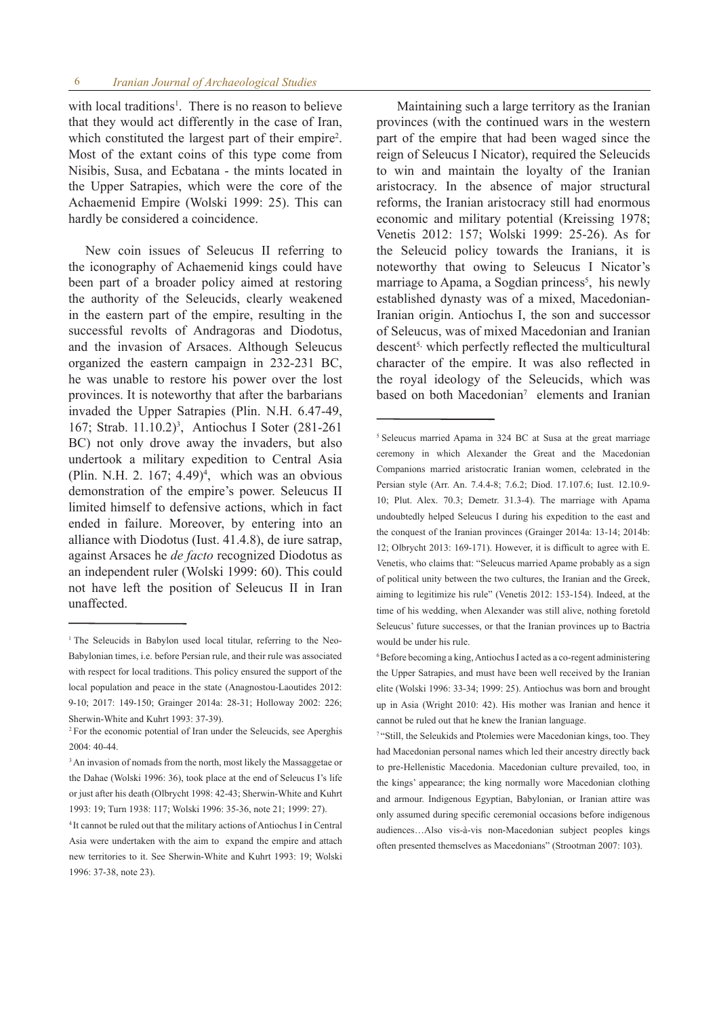with local traditions<sup>1</sup>. There is no reason to believe that they would act differently in the case of Iran, which constituted the largest part of their empire<sup>2</sup>. Most of the extant coins of this type come from Nisibis, Susa, and Ecbatana - the mints located in the Upper Satrapies, which were the core of the Achaemenid Empire (Wolski 1999: 25). This can hardly be considered a coincidence.

New coin issues of Seleucus II referring to the iconography of Achaemenid kings could have been part of a broader policy aimed at restoring the authority of the Seleucids, clearly weakened in the eastern part of the empire, resulting in the successful revolts of Andragoras and Diodotus, and the invasion of Arsaces. Although Seleucus organized the eastern campaign in 232-231 BC, he was unable to restore his power over the lost provinces. It is noteworthy that after the barbarians invaded the Upper Satrapies (Plin. N.H. 6.47-49, 167; Strab. 11.10.2)3 , Antiochus I Soter (281-261 BC) not only drove away the invaders, but also undertook a military expedition to Central Asia (Plin. N.H. 2.  $167; 4.49$ )<sup>4</sup>, which was an obvious demonstration of the empire's power. Seleucus II limited himself to defensive actions, which in fact ended in failure. Moreover, by entering into an alliance with Diodotus (Iust. 41.4.8), de iure satrap, against Arsaces he *de facto* recognized Diodotus as an independent ruler (Wolski 1999: 60). This could not have left the position of Seleucus II in Iran unaffected.

 Maintaining such a large territory as the Iranian provinces (with the continued wars in the western part of the empire that had been waged since the reign of Seleucus I Nicator), required the Seleucids to win and maintain the loyalty of the Iranian aristocracy. In the absence of major structural reforms, the Iranian aristocracy still had enormous economic and military potential (Kreissing 1978; Venetis 2012: 157; Wolski 1999: 25-26). As for the Seleucid policy towards the Iranians, it is noteworthy that owing to Seleucus I Nicator's marriage to Apama, a Sogdian princess<sup>5</sup>, his newly established dynasty was of a mixed, Macedonian-Iranian origin. Antiochus I, the son and successor of Seleucus, was of mixed Macedonian and Iranian descent<sup>5,</sup> which perfectly reflected the multicultural character of the empire. It was also reflected in the royal ideology of the Seleucids, which was based on both Macedonian<sup>7</sup> elements and Iranian

<sup>&</sup>lt;sup>1</sup> The Seleucids in Babylon used local titular, referring to the Neo-Babylonian times, i.e. before Persian rule, and their rule was associated with respect for local traditions. This policy ensured the support of the local population and peace in the state (Anagnostou-Laoutides 2012: 9-10; 2017: 149-150; Grainger 2014a: 28-31; Holloway 2002: 226; Sherwin-White and Kuhrt 1993: 37-39).

<sup>2</sup> For the economic potential of Iran under the Seleucids, see Aperghis 2004: 40-44.

<sup>&</sup>lt;sup>3</sup> An invasion of nomads from the north, most likely the Massaggetae or the Dahae (Wolski 1996: 36), took place at the end of Seleucus I's life or just after his death (Olbrycht 1998: 42-43; Sherwin-White and Kuhrt 1993: 19; Turn 1938: 117; Wolski 1996: 35-36, note 21; 1999: 27).

<sup>4</sup> It cannot be ruled out that the military actions of Antiochus I in Central Asia were undertaken with the aim to expand the empire and attach new territories to it. See Sherwin-White and Kuhrt 1993: 19; Wolski 1996: 37-38, note 23).

<sup>5</sup> Seleucus married Apama in 324 BC at Susa at the great marriage ceremony in which Alexander the Great and the Macedonian Companions married aristocratic Iranian women, celebrated in the Persian style (Arr. An. 7.4.4-8; 7.6.2; Diod. 17.107.6; Iust. 12.10.9- 10; Plut. Alex. 70.3; Demetr. 31.3-4). The marriage with Apama undoubtedly helped Seleucus I during his expedition to the east and the conquest of the Iranian provinces (Grainger 2014a: 13-14; 2014b: 12; Olbrycht 2013: 169-171). However, it is difficult to agree with E. Venetis, who claims that: "Seleucus married Apame probably as a sign of political unity between the two cultures, the Iranian and the Greek, aiming to legitimize his rule" (Venetis 2012: 153-154). Indeed, at the time of his wedding, when Alexander was still alive, nothing foretold Seleucus' future successes, or that the Iranian provinces up to Bactria would be under his rule.

 $6B$ efore becoming a king, Antiochus I acted as a co-regent administering the Upper Satrapies, and must have been well received by the Iranian elite (Wolski 1996: 33-34; 1999: 25). Antiochus was born and brought up in Asia (Wright 2010: 42). His mother was Iranian and hence it cannot be ruled out that he knew the Iranian language.

<sup>7 &</sup>quot;Still, the Seleukids and Ptolemies were Macedonian kings, too. They had Macedonian personal names which led their ancestry directly back to pre-Hellenistic Macedonia. Macedonian culture prevailed, too, in the kings' appearance; the king normally wore Macedonian clothing and armour. Indigenous Egyptian, Babylonian, or Iranian attire was only assumed during specific ceremonial occasions before indigenous audiences…Also vis-à-vis non-Macedonian subject peoples kings often presented themselves as Macedonians" (Strootman 2007: 103).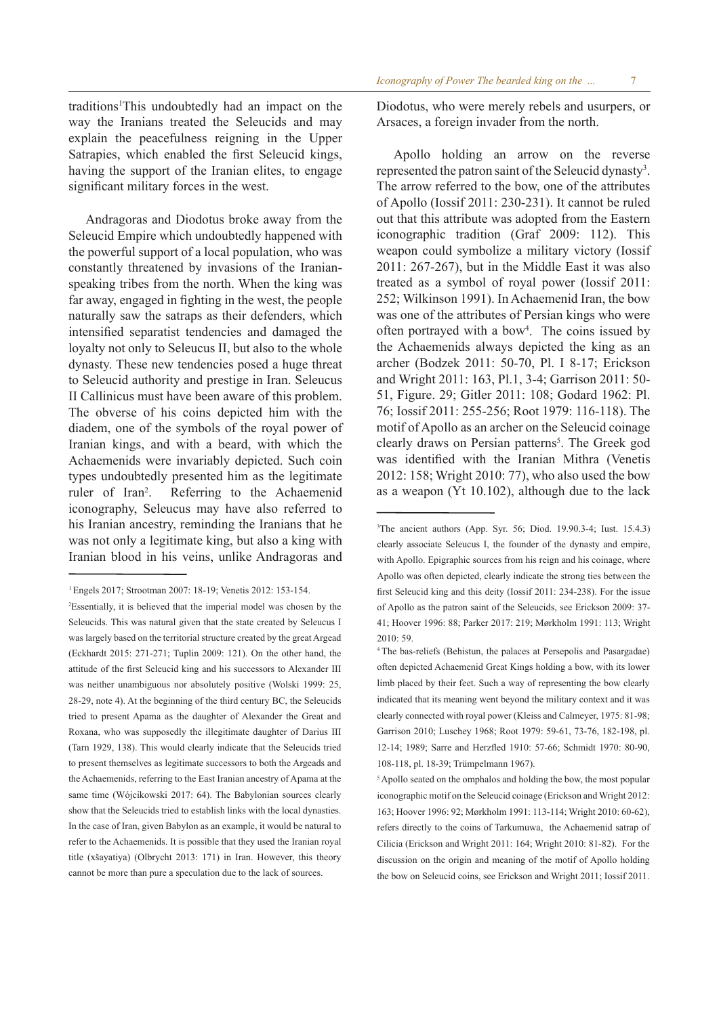traditions<sup>1</sup>This undoubtedly had an impact on the way the Iranians treated the Seleucids and may explain the peacefulness reigning in the Upper Satrapies, which enabled the first Seleucid kings, having the support of the Iranian elites, to engage significant military forces in the west.

Andragoras and Diodotus broke away from the Seleucid Empire which undoubtedly happened with the powerful support of a local population, who was constantly threatened by invasions of the Iranianspeaking tribes from the north. When the king was far away, engaged in fighting in the west, the people naturally saw the satraps as their defenders, which intensified separatist tendencies and damaged the loyalty not only to Seleucus II, but also to the whole dynasty. These new tendencies posed a huge threat to Seleucid authority and prestige in Iran. Seleucus II Callinicus must have been aware of this problem. The obverse of his coins depicted him with the diadem, one of the symbols of the royal power of Iranian kings, and with a beard, with which the Achaemenids were invariably depicted. Such coin types undoubtedly presented him as the legitimate ruler of Iran<sup>2</sup>. . Referring to the Achaemenid iconography, Seleucus may have also referred to his Iranian ancestry, reminding the Iranians that he was not only a legitimate king, but also a king with Iranian blood in his veins, unlike Andragoras and Diodotus, who were merely rebels and usurpers, or Arsaces, a foreign invader from the north.

Apollo holding an arrow on the reverse represented the patron saint of the Seleucid dynasty<sup>3</sup>. The arrow referred to the bow, one of the attributes of Apollo (Iossif 2011: 230-231). It cannot be ruled out that this attribute was adopted from the Eastern iconographic tradition (Graf 2009: 112). This weapon could symbolize a military victory (Iossif 2011: 267-267), but in the Middle East it was also treated as a symbol of royal power (Iossif 2011: 252; Wilkinson 1991). In Achaemenid Iran, the bow was one of the attributes of Persian kings who were often portrayed with a bow4 . The coins issued by the Achaemenids always depicted the king as an archer (Bodzek 2011: 50-70, Pl. I 8-17; Erickson and Wright 2011: 163, Pl.1, 3-4; Garrison 2011: 50- 51, Figure. 29; Gitler 2011: 108; Godard 1962: Pl. 76; Iossif 2011: 255-256; Root 1979: 116-118). The motif of Apollo as an archer on the Seleucid coinage clearly draws on Persian patterns<sup>5</sup>. The Greek god was identified with the Iranian Mithra (Venetis 2012: 158; Wright 2010: 77), who also used the bow as a weapon (Yt 10.102), although due to the lack

<sup>1</sup> Engels 2017; Strootman 2007: 18-19; Venetis 2012: 153-154.

<sup>2</sup> Essentially, it is believed that the imperial model was chosen by the Seleucids. This was natural given that the state created by Seleucus I was largely based on the territorial structure created by the great Argead (Eckhardt 2015: 271-271; Tuplin 2009: 121). On the other hand, the attitude of the first Seleucid king and his successors to Alexander III was neither unambiguous nor absolutely positive (Wolski 1999: 25, 28-29, note 4). At the beginning of the third century BC, the Seleucids tried to present Apama as the daughter of Alexander the Great and Roxana, who was supposedly the illegitimate daughter of Darius III (Tarn 1929, 138). This would clearly indicate that the Seleucids tried to present themselves as legitimate successors to both the Argeads and the Achaemenids, referring to the East Iranian ancestry of Apama at the same time (Wójcikowski 2017: 64). The Babylonian sources clearly show that the Seleucids tried to establish links with the local dynasties. In the case of Iran, given Babylon as an example, it would be natural to refer to the Achaemenids. It is possible that they used the Iranian royal title (xšayatiya) (Olbrycht 2013: 171) in Iran. However, this theory cannot be more than pure a speculation due to the lack of sources.

<sup>3</sup> The ancient authors (App. Syr. 56; Diod. 19.90.3-4; Iust. 15.4.3) clearly associate Seleucus I, the founder of the dynasty and empire, with Apollo. Epigraphic sources from his reign and his coinage, where Apollo was often depicted, clearly indicate the strong ties between the first Seleucid king and this deity (Iossif 2011: 234-238). For the issue of Apollo as the patron saint of the Seleucids, see Erickson 2009: 37- 41; Hoover 1996: 88; Parker 2017: 219; Mørkholm 1991: 113; Wright 2010: 59.

<sup>4</sup> The bas-reliefs (Behistun, the palaces at Persepolis and Pasargadae) often depicted Achaemenid Great Kings holding a bow, with its lower limb placed by their feet. Such a way of representing the bow clearly indicated that its meaning went beyond the military context and it was clearly connected with royal power (Kleiss and Calmeyer, 1975: 81-98; Garrison 2010; Luschey 1968; Root 1979: 59-61, 73-76, 182-198, pl. 12-14; 1989; Sarre and Herzfled 1910: 57-66; Schmidt 1970: 80-90, 108-118, pl. 18-39; Trümpelmann 1967).

<sup>&</sup>lt;sup>5</sup> Apollo seated on the omphalos and holding the bow, the most popular iconographic motif on the Seleucid coinage (Erickson and Wright 2012: 163; Hoover 1996: 92; Mørkholm 1991: 113-114; Wright 2010: 60-62), refers directly to the coins of Tarkumuwa, the Achaemenid satrap of Cilicia (Erickson and Wright 2011: 164; Wright 2010: 81-82). For the discussion on the origin and meaning of the motif of Apollo holding the bow on Seleucid coins, see Erickson and Wright 2011; Iossif 2011.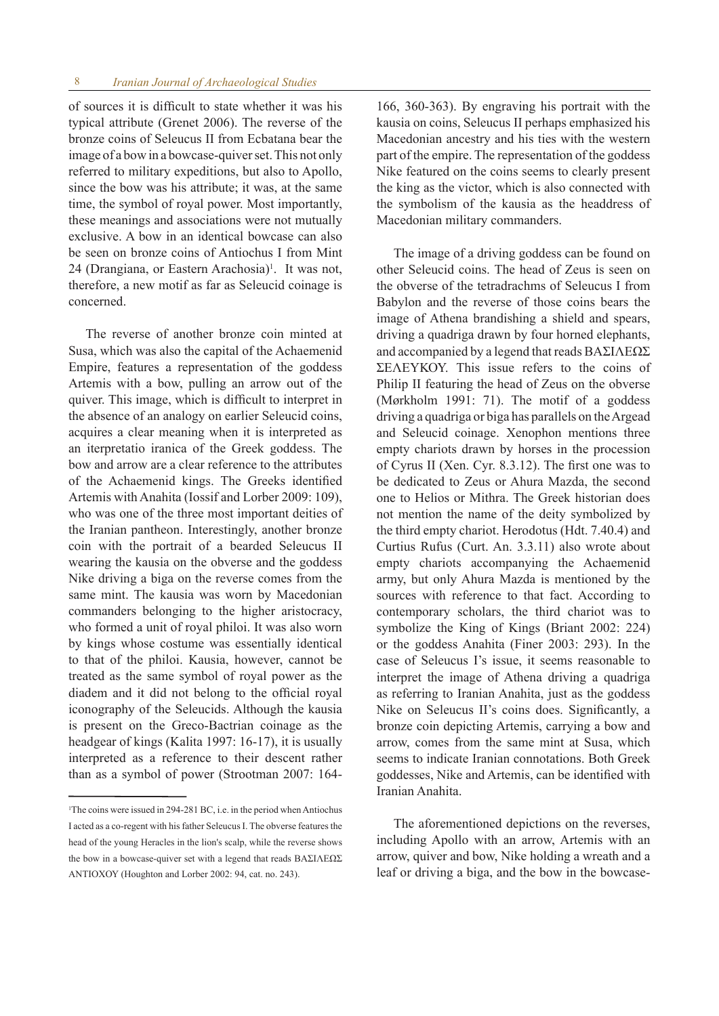of sources it is difficult to state whether it was his typical attribute (Grenet 2006). The reverse of the bronze coins of Seleucus II from Ecbatana bear the image of a bow in a bowcase-quiver set. This not only referred to military expeditions, but also to Apollo, since the bow was his attribute; it was, at the same time, the symbol of royal power. Most importantly, these meanings and associations were not mutually exclusive. A bow in an identical bowcase can also be seen on bronze coins of Antiochus I from Mint 24 (Drangiana, or Eastern Arachosia)<sup>1</sup>. It was not, therefore, a new motif as far as Seleucid coinage is concerned.

The reverse of another bronze coin minted at Susa, which was also the capital of the Achaemenid Empire, features a representation of the goddess Artemis with a bow, pulling an arrow out of the quiver. This image, which is difficult to interpret in the absence of an analogy on earlier Seleucid coins, acquires a clear meaning when it is interpreted as an iterpretatio iranica of the Greek goddess. The bow and arrow are a clear reference to the attributes of the Achaemenid kings. The Greeks identified Artemis with Anahita (Iossif and Lorber 2009: 109), who was one of the three most important deities of the Iranian pantheon. Interestingly, another bronze coin with the portrait of a bearded Seleucus II wearing the kausia on the obverse and the goddess Nike driving a biga on the reverse comes from the same mint. The kausia was worn by Macedonian commanders belonging to the higher aristocracy, who formed a unit of royal philoi. It was also worn by kings whose costume was essentially identical to that of the philoi. Kausia, however, cannot be treated as the same symbol of royal power as the diadem and it did not belong to the official royal iconography of the Seleucids. Although the kausia is present on the Greco-Bactrian coinage as the headgear of kings (Kalita 1997: 16-17), it is usually interpreted as a reference to their descent rather than as a symbol of power (Strootman 2007: 164-

166, 360-363). By engraving his portrait with the kausia on coins, Seleucus II perhaps emphasized his Macedonian ancestry and his ties with the western part of the empire. The representation of the goddess Nike featured on the coins seems to clearly present the king as the victor, which is also connected with the symbolism of the kausia as the headdress of Macedonian military commanders.

The image of a driving goddess can be found on other Seleucid coins. The head of Zeus is seen on the obverse of the tetradrachms of Seleucus I from Babylon and the reverse of those coins bears the image of Athena brandishing a shield and spears, driving a quadriga drawn by four horned elephants, and accompanied by a legend that reads ΒΑΣΙΛΕΩΣ ΣΕΛΕΥΚΟΥ. This issue refers to the coins of Philip II featuring the head of Zeus on the obverse (Mørkholm 1991: 71). The motif of a goddess driving a quadriga or biga has parallels on the Argead and Seleucid coinage. Xenophon mentions three empty chariots drawn by horses in the procession of Cyrus II (Xen. Cyr. 8.3.12). The first one was to be dedicated to Zeus or Ahura Mazda, the second one to Helios or Mithra. The Greek historian does not mention the name of the deity symbolized by the third empty chariot. Herodotus (Hdt. 7.40.4) and Curtius Rufus (Curt. An. 3.3.11) also wrote about empty chariots accompanying the Achaemenid army, but only Ahura Mazda is mentioned by the sources with reference to that fact. According to contemporary scholars, the third chariot was to symbolize the King of Kings (Briant 2002: 224) or the goddess Anahita (Finer 2003: 293). In the case of Seleucus I's issue, it seems reasonable to interpret the image of Athena driving a quadriga as referring to Iranian Anahita, just as the goddess Nike on Seleucus II's coins does. Significantly, a bronze coin depicting Artemis, carrying a bow and arrow, comes from the same mint at Susa, which seems to indicate Iranian connotations. Both Greek goddesses, Nike and Artemis, can be identified with Iranian Anahita.

The aforementioned depictions on the reverses, including Apollo with an arrow, Artemis with an arrow, quiver and bow, Nike holding a wreath and a leaf or driving a biga, and the bow in the bowcase-

<sup>1</sup> The coins were issued in 294-281 BC, i.e. in the period when Antiochus I acted as a co-regent with his father Seleucus I. The obverse features the head of the young Heracles in the lion's scalp, while the reverse shows the bow in a bowcase-quiver set with a legend that reads ΒΑΣΙΛΕΩΣ AΝΤΙΟΧΟΥ (Houghton and Lorber 2002: 94, cat. no. 243).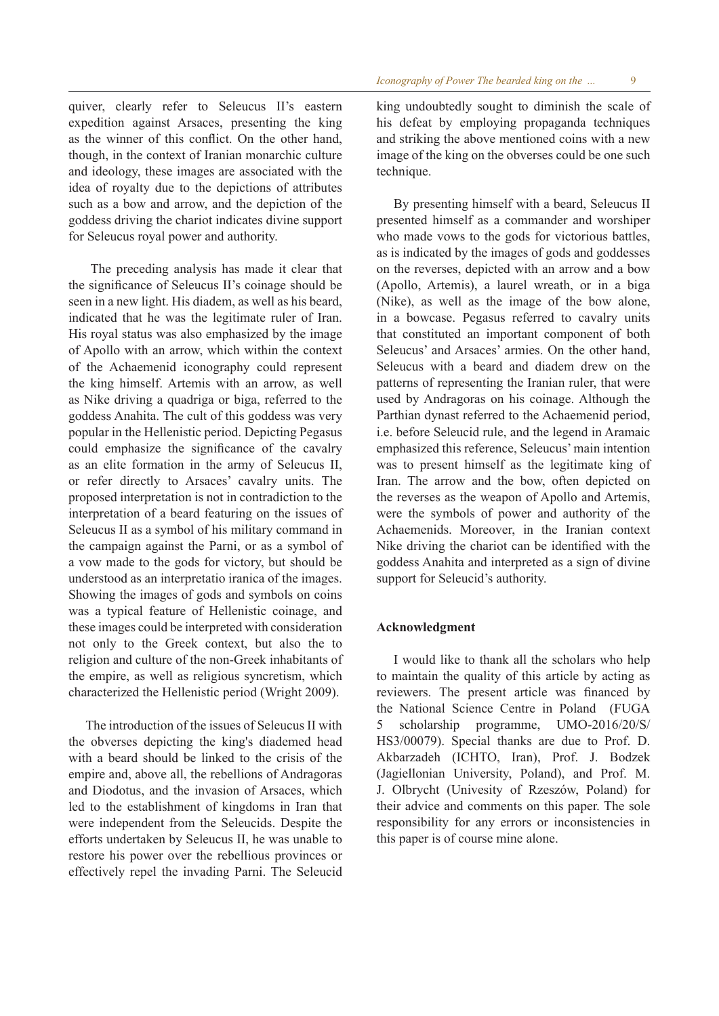quiver, clearly refer to Seleucus II's eastern expedition against Arsaces, presenting the king as the winner of this conflict. On the other hand, though, in the context of Iranian monarchic culture and ideology, these images are associated with the idea of royalty due to the depictions of attributes such as a bow and arrow, and the depiction of the goddess driving the chariot indicates divine support for Seleucus royal power and authority.

 The preceding analysis has made it clear that the significance of Seleucus II's coinage should be seen in a new light. His diadem, as well as his beard, indicated that he was the legitimate ruler of Iran. His royal status was also emphasized by the image of Apollo with an arrow, which within the context of the Achaemenid iconography could represent the king himself. Artemis with an arrow, as well as Nike driving a quadriga or biga, referred to the goddess Anahita. The cult of this goddess was very popular in the Hellenistic period. Depicting Pegasus could emphasize the significance of the cavalry as an elite formation in the army of Seleucus II, or refer directly to Arsaces' cavalry units. The proposed interpretation is not in contradiction to the interpretation of a beard featuring on the issues of Seleucus II as a symbol of his military command in the campaign against the Parni, or as a symbol of a vow made to the gods for victory, but should be understood as an interpretatio iranica of the images. Showing the images of gods and symbols on coins was a typical feature of Hellenistic coinage, and these images could be interpreted with consideration not only to the Greek context, but also the to religion and culture of the non-Greek inhabitants of the empire, as well as religious syncretism, which characterized the Hellenistic period (Wright 2009).

The introduction of the issues of Seleucus II with the obverses depicting the king's diademed head with a beard should be linked to the crisis of the empire and, above all, the rebellions of Andragoras and Diodotus, and the invasion of Arsaces, which led to the establishment of kingdoms in Iran that were independent from the Seleucids. Despite the efforts undertaken by Seleucus II, he was unable to restore his power over the rebellious provinces or effectively repel the invading Parni. The Seleucid king undoubtedly sought to diminish the scale of his defeat by employing propaganda techniques and striking the above mentioned coins with a new image of the king on the obverses could be one such technique.

By presenting himself with a beard, Seleucus II presented himself as a commander and worshiper who made vows to the gods for victorious battles, as is indicated by the images of gods and goddesses on the reverses, depicted with an arrow and a bow (Apollo, Artemis), a laurel wreath, or in a biga (Nike), as well as the image of the bow alone, in a bowcase. Pegasus referred to cavalry units that constituted an important component of both Seleucus' and Arsaces' armies. On the other hand, Seleucus with a beard and diadem drew on the patterns of representing the Iranian ruler, that were used by Andragoras on his coinage. Although the Parthian dynast referred to the Achaemenid period, i.e. before Seleucid rule, and the legend in Aramaic emphasized this reference, Seleucus' main intention was to present himself as the legitimate king of Iran. The arrow and the bow, often depicted on the reverses as the weapon of Apollo and Artemis, were the symbols of power and authority of the Achaemenids. Moreover, in the Iranian context Nike driving the chariot can be identified with the goddess Anahita and interpreted as a sign of divine support for Seleucid's authority.

# **Acknowledgment**

I would like to thank all the scholars who help to maintain the quality of this article by acting as reviewers. The present article was financed by the National Science Centre in Poland (FUGA 5 scholarship programme, UMO-2016/20/S/ HS3/00079). Special thanks are due to Prof. D. Akbarzadeh (ICHTO, Iran), Prof. J. Bodzek (Jagiellonian University, Poland), and Prof. M. J. Olbrycht (Univesity of Rzeszów, Poland) for their advice and comments on this paper. The sole responsibility for any errors or inconsistencies in this paper is of course mine alone.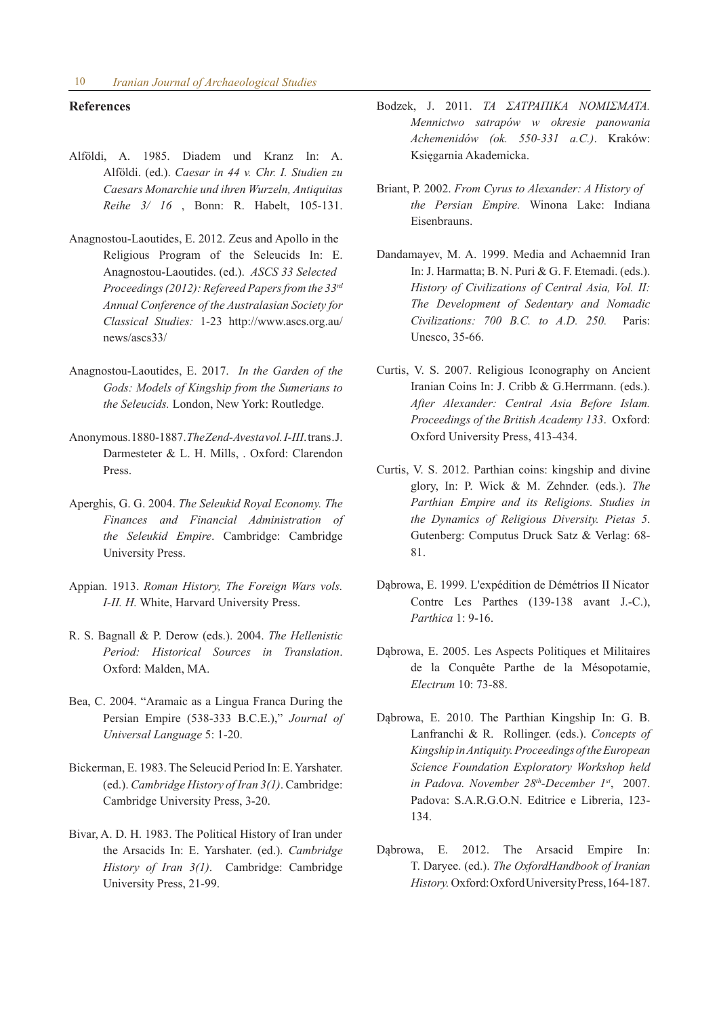### **References**

- Alföldi, A. 1985. Diadem und Kranz In: A. Alföldi. (ed.). *Caesar in 44 v. Chr. I. Studien zu Caesars Monarchie und ihren Wurzeln, Antiquitas Reihe 3/ 16* , Bonn: R. Habelt, 105-131.
- Anagnostou-Laoutides, E. 2012. Zeus and Apollo in the Religious Program of the Seleucids In: E. Anagnostou-Laoutides. (ed.). *ASCS 33 Selected Proceedings (2012): Refereed Papers from the 33rd Annual Conference of the Australasian Society for Classical Studies:* 1-23 http://www.ascs.org.au/ news/ascs33/
- Anagnostou-Laoutides, E. 2017. *In the Garden of the Gods: Models of Kingship from the Sumerians to the Seleucids.* London, New York: Routledge.
- Anonymous. 1880-1887. *The Zend-Avesta vol. I-III*. trans . J. Darmesteter & L. H. Mills, . Oxford: Clarendon Press.
- Aperghis, G. G. 2004. *The Seleukid Royal Economy. The Finances and Financial Administration of the Seleukid Empire*. Cambridge: Cambridge University Press.
- Appian. 1913. *Roman History, The Foreign Wars vols. I-II. H.* White, Harvard University Press.
- R. S. Bagnall & P. Derow (eds.). 2004. *The Hellenistic Period: Historical Sources in Translation*. Oxford: Malden, MA.
- Bea, C. 2004. "Aramaic as a Lingua Franca During the Persian Empire (538-333 B.C.E.)," *Journal of Universal Language* 5: 1-20.
- Bickerman, E. 1983. The Seleucid Period In: E. Yarshater. (ed.). *Cambridge History of Iran 3(1)*. Cambridge: Cambridge University Press, 3-20.
- Bivar, A. D. H. 1983. The Political History of Iran under the Arsacids In: E. Yarshater. (ed.). *Cambridge History of Iran 3(1)*. Cambridge: Cambridge University Press, 21-99.
- Bodzek, J. 2011. *ΤΑ ΣΑΤΡΑΠΙΚΑ ΝΟΜΙΣΜΑΤΑ. Mennictwo satrapów w okresie panowania Achemenidów (ok. 550-331 a.C.)*. Kraków: Księgarnia Akademicka.
- Briant, P. 2002. *From Cyrus to Alexander: A History of the Persian Empire.* Winona Lake: Indiana Eisenbrauns.
- Dandamayev, M. A. 1999. Media and Achaemnid Iran In: J. Harmatta; B. N. Puri & G. F. Etemadi. (eds.). *History of Civilizations of Central Asia, Vol. II: The Development of Sedentary and Nomadic Civilizations: 700 B.C. to A.D. 250.* Paris: Unesco, 35-66.
- Curtis, V. S. 2007. Religious Iconography on Ancient Iranian Coins In: J. Cribb & G.Herrmann. (eds.). *After Alexander: Central Asia Before Islam. Proceedings of the British Academy 133*. Oxford: Oxford University Press, 413-434.
- Curtis, V. S. 2012. Parthian coins: kingship and divine glory, In: P. Wick & M. Zehnder. (eds.). *The Parthian Empire and its Religions. Studies in the Dynamics of Religious Diversity. Pietas 5*. Gutenberg: Computus Druck Satz & Verlag: 68- 81.
- Dąbrowa, E. 1999. L'expédition de Démétrios II Nicator Contre Les Parthes (139-138 avant J.-C.), *Parthica* 1: 9-16.
- Dąbrowa, E. 2005. Les Aspects Politiques et Militaires de la Conquête Parthe de la Mésopotamie, *Electrum* 10: 73-88.
- Dąbrowa, E. 2010. The Parthian Kingship In: G. B. Lanfranchi & R. Rollinger. (eds.). *Concepts of Kingship in Antiquity. Proceedings of the European Science Foundation Exploratory Workshop held in Padova. November 28th-December 1st*, 2007. Padova: S.A.R.G.O.N. Editrice e Libreria, 123- 134.
- Dąbrowa, E. 2012. The Arsacid Empire In: T. Daryee. (ed.). *The OxfordHandbook of Iranian History.* Oxford: Oxford University Press, 164-187.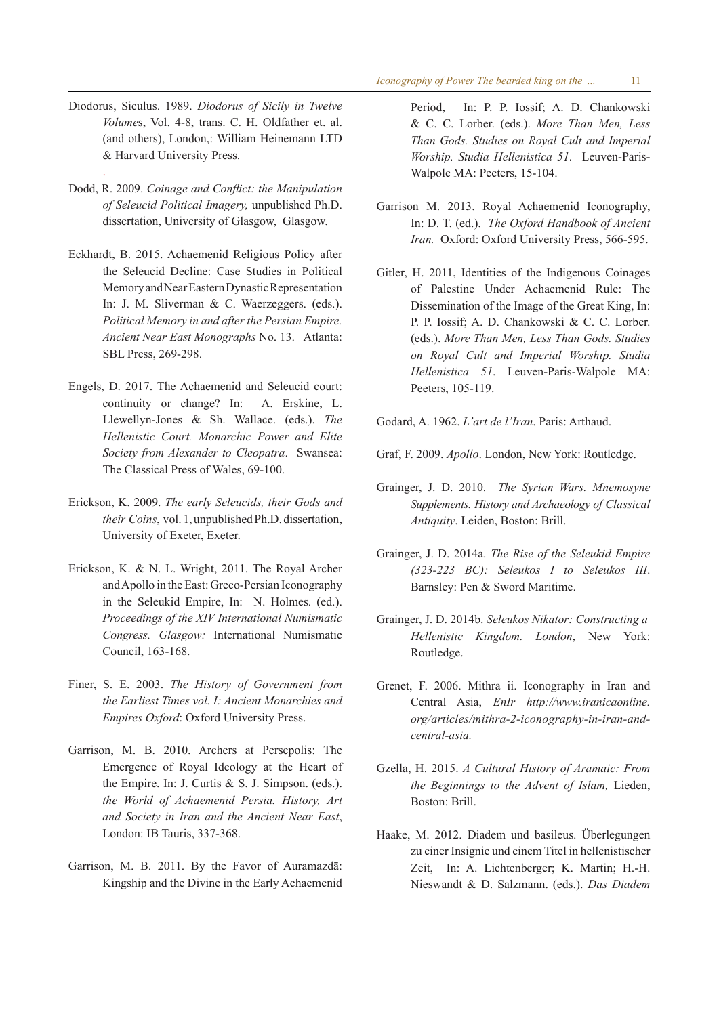- Diodorus, Siculus. 1989. *Diodorus of Sicily in Twelve Volume*s, Vol. 4-8, trans. C. H. Oldfather et. al. (and others), London,: William Heinemann LTD & Harvard University Press.
- Dodd, R. 2009. *Coinage and Conflict: the Manipulation of Seleucid Political Imagery,* unpublished Ph.D. dissertation, University of Glasgow, Glasgow.

.

- Eckhardt, B. 2015. Achaemenid Religious Policy after the Seleucid Decline: Case Studies in Political Memory and Near Eastern Dynastic Representation In: J. M. Sliverman & C. Waerzeggers. (eds.). *Political Memory in and after the Persian Empire. Ancient Near East Monographs* No. 13. Atlanta: SBL Press, 269-298.
- Engels, D. 2017. The Achaemenid and Seleucid court: continuity or change? In: A. Erskine, L. Llewellyn-Jones & Sh. Wallace. (eds.). *The Hellenistic Court. Monarchic Power and Elite Society from Alexander to Cleopatra*. Swansea: The Classical Press of Wales, 69-100.
- Erickson, K. 2009. *The early Seleucids, their Gods and their Coins*, vol. 1, unpublished Ph.D. dissertation, University of Exeter, Exeter.
- Erickson, K. & N. L. Wright, 2011. The Royal Archer and Apollo in the East: Greco-Persian Iconography in the Seleukid Empire, In: N. Holmes. (ed.). *Proceedings of the XIV International Numismatic Congress. Glasgow:* International Numismatic Council, 163-168.
- Finer, S. E. 2003. *The History of Government from the Earliest Times vol. I: Ancient Monarchies and Empires Oxford*: Oxford University Press.
- Garrison, M. B. 2010. Archers at Persepolis: The Emergence of Royal Ideology at the Heart of the Empire. In: J. Curtis & S. J. Simpson. (eds.). *the World of Achaemenid Persia. History, Art and Society in Iran and the Ancient Near East*, London: IB Tauris, 337-368.
- Garrison, M. B. 2011. By the Favor of Auramazdā: Kingship and the Divine in the Early Achaemenid

Period, In: P. P. Iossif; A. D. Chankowski & C. C. Lorber. (eds.). *More Than Men, Less Than Gods. Studies on Royal Cult and Imperial Worship. Studia Hellenistica 51*. Leuven-Paris-Walpole MA: Peeters, 15-104.

- Garrison M. 2013. Royal Achaemenid Iconography, In: D. T. (ed.). *The Oxford Handbook of Ancient Iran.* Oxford: Oxford University Press, 566-595.
- Gitler, H. 2011, Identities of the Indigenous Coinages of Palestine Under Achaemenid Rule: The Dissemination of the Image of the Great King, In: P. P. Iossif; A. D. Chankowski & C. C. Lorber. (eds.). *More Than Men, Less Than Gods. Studies on Royal Cult and Imperial Worship. Studia Hellenistica 51*. Leuven-Paris-Walpole MA: Peeters, 105-119.
- Godard, A. 1962. *L'art de l'Iran*. Paris: Arthaud.
- Graf, F. 2009. *Apollo*. London, New York: Routledge.
- Grainger, J. D. 2010. *The Syrian Wars. Mnemosyne Supplements. History and Archaeology of Classical Antiquity*. Leiden, Boston: Brill.
- Grainger, J. D. 2014a. *The Rise of the Seleukid Empire (323-223 BC): Seleukos I to Seleukos III*. Barnsley: Pen & Sword Maritime.
- Grainger, J. D. 2014b. *Seleukos Nikator: Constructing a Hellenistic Kingdom. London*, New York: Routledge.
- Grenet, F. 2006. Mithra ii. Iconography in Iran and Central Asia, *EnIr http://www.iranicaonline. org/articles/mithra-2-iconography-in-iran-andcentral-asia.*
- Gzella, H. 2015. *A Cultural History of Aramaic: From the Beginnings to the Advent of Islam,* Lieden, Boston: Brill.
- Haake, M. 2012. Diadem und basileus. Überlegungen zu einer Insignie und einem Titel in hellenistischer Zeit, In: A. Lichtenberger; K. Martin; H.-H. Nieswandt & D. Salzmann. (eds.). *Das Diadem*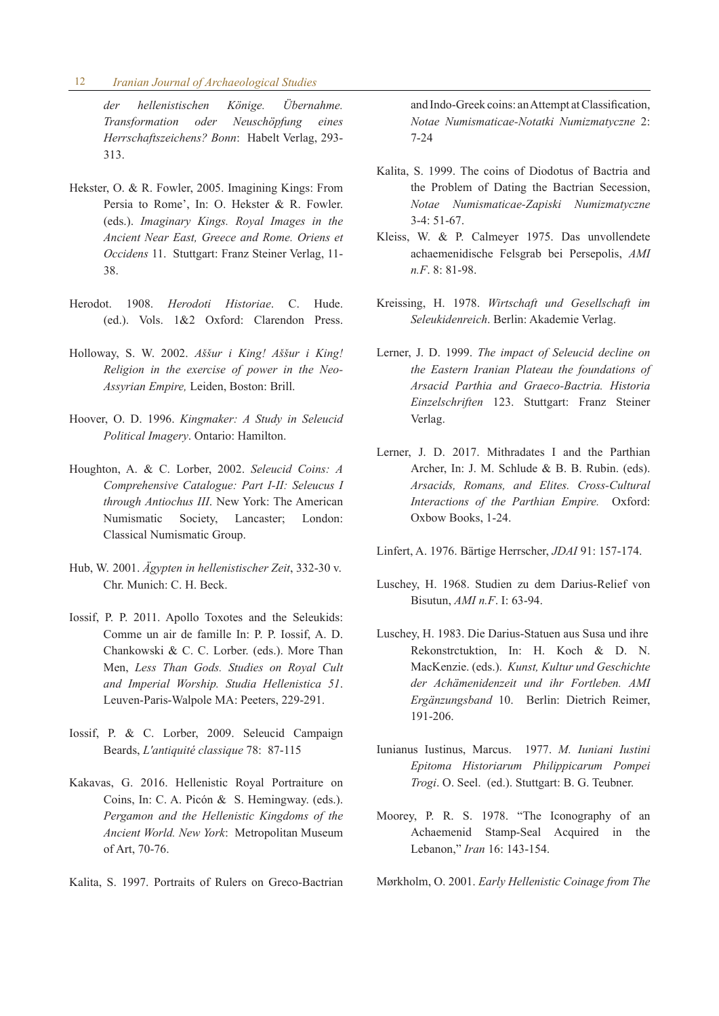#### 12 *Iranian Journal of Archaeological Studies*

*der hellenistischen Könige. Übernahme. Transformation oder Neuschöpfung eines Herrschaftszeichens? Bonn*: Habelt Verlag, 293- 313.

- Hekster, O. & R. Fowler, 2005. Imagining Kings: From Persia to Rome', In: O. Hekster & R. Fowler. (eds.). *Imaginary Kings. Royal Images in the Ancient Near East, Greece and Rome. Oriens et Occidens* 11. Stuttgart: Franz Steiner Verlag, 11- 38.
- Herodot. 1908. *Herodoti Historiae*. C. Hude. (ed.). Vols. 1&2 Oxford: Clarendon Press.
- Holloway, S. W. 2002. *Aššur i King! Aššur i King! Religion in the exercise of power in the Neo-Assyrian Empire,* Leiden, Boston: Brill.
- Hoover, O. D. 1996. *Kingmaker: A Study in Seleucid Political Imagery*. Ontario: Hamilton.
- Houghton, A. & C. Lorber, 2002. *Seleucid Coins: A Comprehensive Catalogue: Part I-II: Seleucus I through Antiochus III*. New York: The American Numismatic Society, Lancaster; London: Classical Numismatic Group.
- Hub, W. 2001. *Ägypten in hellenistischer Zeit*, 332-30 v. Chr. Munich: C. H. Beck.
- Iossif, P. P. 2011. Apollo Toxotes and the Seleukids: Comme un air de famille In: P. P. Iossif, A. D. Chankowski & C. C. Lorber. (eds.). More Than Men, *Less Than Gods. Studies on Royal Cult and Imperial Worship. Studia Hellenistica 51*. Leuven-Paris-Walpole MA: Peeters, 229-291.
- Iossif, P. & C. Lorber, 2009. Seleucid Campaign Beards, *L'antiquité classique* 78: 87-115
- Kakavas, G. 2016. Hellenistic Royal Portraiture on Coins, In: C. A. Picón & S. Hemingway. (eds.). *Pergamon and the Hellenistic Kingdoms of the Ancient World. New York*: Metropolitan Museum of Art, 70-76.
- Kalita, S. 1997. Portraits of Rulers on Greco-Bactrian

and Indo-Greek coins: an Attempt at Classification, *Notae Numismaticae-Notatki Numizmatyczne* 2: 7-24

- Kalita, S. 1999. The coins of Diodotus of Bactria and the Problem of Dating the Bactrian Secession, *Notae Numismaticae-Zapiski Numizmatyczne*  3-4: 51-67.
- Kleiss, W. & P. Calmeyer 1975. Das unvollendete achaemenidische Felsgrab bei Persepolis, *AMI n.F*. 8: 81-98.
- Kreissing, H. 1978. *Wirtschaft und Gesellschaft im Seleukidenreich*. Berlin: Akademie Verlag.
- Lerner, J. D. 1999. *The impact of Seleucid decline on the Eastern Iranian Plateau the foundations of Arsacid Parthia and Graeco-Bactria. Historia Einzelschriften* 123. Stuttgart: Franz Steiner Verlag.
- Lerner, J. D. 2017. Mithradates I and the Parthian Archer, In: J. M. Schlude & B. B. Rubin. (eds). *Arsacids, Romans, and Elites. Cross-Cultural Interactions of the Parthian Empire.* Oxford: Oxbow Books, 1-24.
- Linfert, A. 1976. Bärtige Herrscher, *JDAI* 91: 157-174.
- Luschey, H. 1968. Studien zu dem Darius-Relief von Bisutun, *AMI n.F*. I: 63-94.
- Luschey, H. 1983. Die Darius-Statuen aus Susa und ihre Rekonstrctuktion, In: H. Koch & D. N. MacKenzie. (eds.). *Kunst, Kultur und Geschichte der Achämenidenzeit und ihr Fortleben. AMI Ergänzungsband* 10. Berlin: Dietrich Reimer, 191-206.
- Iunianus Iustinus, Marcus. 1977. *M. Iuniani Iustini Epitoma Historiarum Philippicarum Pompei Trogi*. O. Seel. (ed.). Stuttgart: B. G. Teubner.
- Moorey, P. R. S. 1978. "The Iconography of an Achaemenid Stamp-Seal Acquired in the Lebanon," *Iran* 16: 143-154.

Mørkholm, O. 2001. *Early Hellenistic Coinage from The*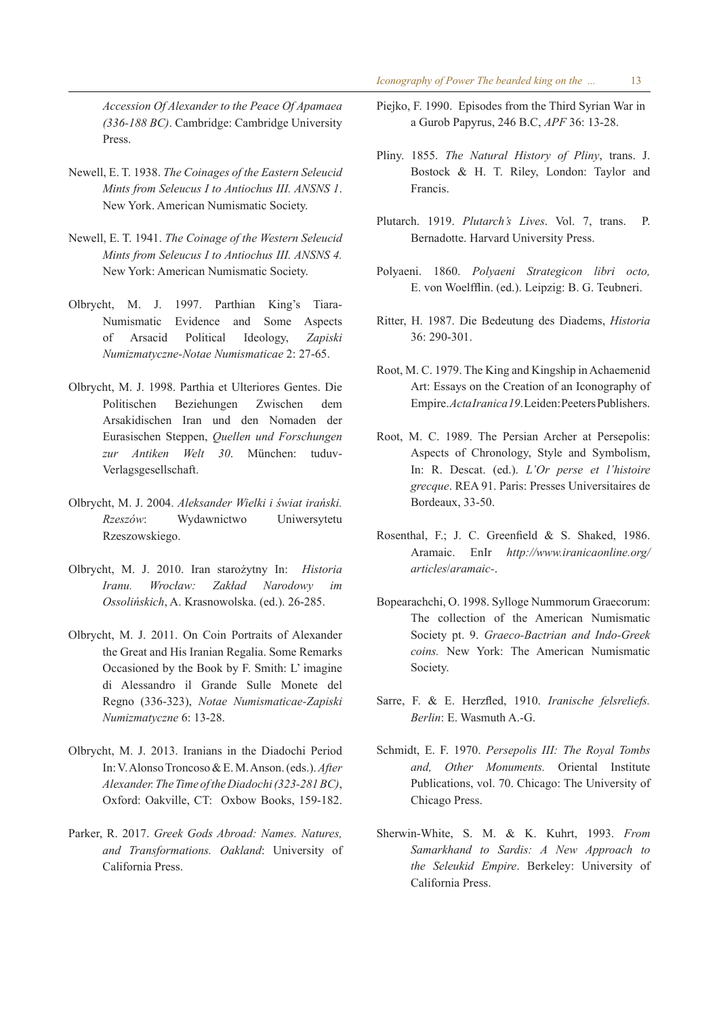*Accession Of Alexander to the Peace Of Apamaea (336-188 BC)*. Cambridge: Cambridge University Press.

- Newell, E. T. 1938. *The Coinages of the Eastern Seleucid Mints from Seleucus I to Antiochus III. ANSNS 1*. New York. American Numismatic Society.
- Newell, E. T. 1941. *The Coinage of the Western Seleucid Mints from Seleucus I to Antiochus III. ANSNS 4.* New York: American Numismatic Society.
- Olbrycht, M. J. 1997. Parthian King's Tiara-Numismatic Evidence and Some Aspects of Arsacid Political Ideology, *Zapiski Numizmatyczne-Notae Numismaticae* 2: 27-65.
- Olbrycht, M. J. 1998. Parthia et Ulteriores Gentes. Die Politischen Beziehungen Zwischen dem Arsakidischen Iran und den Nomaden der Eurasischen Steppen, *Quellen und Forschungen zur Antiken Welt 30*. München: tuduv-Verlagsgesellschaft.
- Olbrycht, M. J. 2004. *Aleksander Wielki i świat irański. Rzeszów*: Wydawnictwo Uniwersytetu Rzeszowskiego.
- Olbrycht, M. J. 2010. Iran starożytny In: *Historia Iranu. Wrocław: Zakład Narodowy im Ossolińskich*, A. Krasnowolska. (ed.). 26-285.
- Olbrycht, M. J. 2011. On Coin Portraits of Alexander the Great and His Iranian Regalia. Some Remarks Occasioned by the Book by F. Smith: L' imagine di Alessandro il Grande Sulle Monete del Regno (336-323), *Notae Numismaticae-Zapiski Numizmatyczne* 6: 13-28.
- Olbrycht, M. J. 2013. Iranians in the Diadochi Period In: V. Alonso Troncoso & E. M. Anson. (eds.). *After Alexander. The Time of the Diadochi (323-281 BC)*, Oxford: Oakville, CT: Oxbow Books, 159-182.
- Parker, R. 2017. *Greek Gods Abroad: Names. Natures, and Transformations. Oakland*: University of California Press.
- Piejko, F. 1990. Episodes from the Third Syrian War in a Gurob Papyrus, 246 B.C, *APF* 36: 13-28.
- Pliny. 1855. *The Natural History of Pliny*, trans. J. Bostock & H. T. Riley, London: Taylor and Francis.
- Plutarch. 1919. *Plutarch's Lives*. Vol. 7, trans. P. Bernadotte. Harvard University Press.
- Polyaeni. 1860. *Polyaeni Strategicon libri octo,*  E. von Woelfflin. (ed.). Leipzig: B. G. Teubneri.
- Ritter, H. 1987. Die Bedeutung des Diadems, *Historia*  36: 290-301.
- Root, M. C. 1979. The King and Kingship in Achaemenid Art: Essays on the Creation of an Iconography of Empire. *Acta Iranica 19*. Leiden: Peeters Publishers.
- Root, M. C. 1989. The Persian Archer at Persepolis: Aspects of Chronology, Style and Symbolism, In: R. Descat. (ed.). *L'Or perse et l'histoire grecque*. REA 91. Paris: Presses Universitaires de Bordeaux, 33-50.
- Rosenthal, F.; J. C. Greenfield & S. Shaked, 1986. Aramaic. EnIr *http://www.iranicaonline.org/ articles*/*aramaic-*.
- Bopearachchi, O. 1998. Sylloge Nummorum Graecorum: The collection of the American Numismatic Society pt. 9. *Graeco-Bactrian and Indo-Greek coins.* New York: The American Numismatic Society.
- Sarre, F. & E. Herzfled, 1910. *Iranische felsreliefs. Berlin*: E. Wasmuth A.-G.
- Schmidt, E. F. 1970. *Persepolis III: The Royal Tombs and, Other Monuments.* Oriental Institute Publications, vol. 70. Chicago: The University of Chicago Press.
- Sherwin-White, S. M. & K. Kuhrt, 1993. *From Samarkhand to Sardis: A New Approach to the Seleukid Empire*. Berkeley: University of California Press.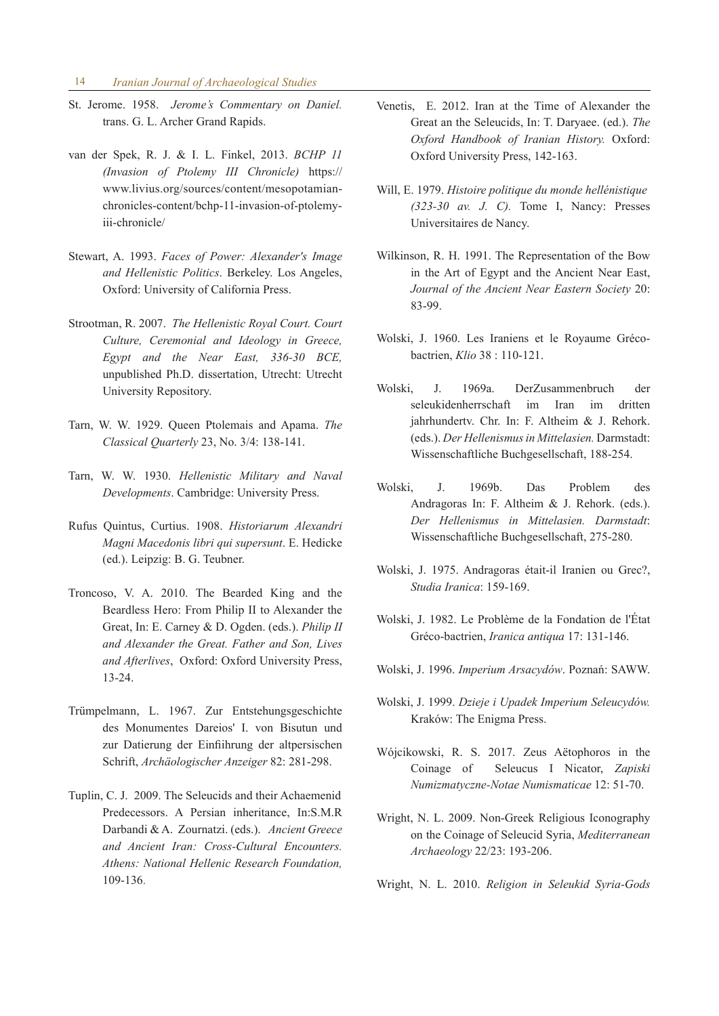- St. Jerome. 1958. *Jerome's Commentary on Daniel.*  trans. G. L. Archer Grand Rapids.
- van der Spek, R. J. & I. L. Finkel, 2013. *BCHP 11 (Invasion of Ptolemy III Chronicle)* https:// www.livius.org/sources/content/mesopotamianchronicles-content/bchp-11-invasion-of-ptolemyiii-chronicle/
- Stewart, A. 1993. *Faces of Power: Alexander's Image and Hellenistic Politics*. Berkeley. Los Angeles, Oxford: University of California Press.
- Strootman, R. 2007. *The Hellenistic Royal Court. Court Culture, Ceremonial and Ideology in Greece, Egypt and the Near East, 336-30 BCE,*  unpublished Ph.D. dissertation, Utrecht: Utrecht University Repository.
- Tarn, W. W. 1929. Queen Ptolemais and Apama. *The Classical Quarterly* 23, No. 3/4: 138-141.
- Tarn, W. W. 1930. *Hellenistic Military and Naval Developments*. Cambridge: University Press.
- Rufus Quintus, Curtius. 1908. *Historiarum Alexandri Magni Macedonis libri qui supersunt*. E. Hedicke (ed.). Leipzig: B. G. Teubner.
- Troncoso, V. A. 2010. The Bearded King and the Beardless Hero: From Philip II to Alexander the Great, In: E. Carney & D. Ogden. (eds.). *Philip II and Alexander the Great. Father and Son, Lives and Afterlives*, Oxford: Oxford University Press, 13-24.
- Trümpelmann, L. 1967. Zur Entstehungsgeschichte des Monumentes Dareios' I. von Bisutun und zur Datierung der Einfiihrung der altpersischen Schrift, *Archäologischer Anzeiger* 82: 281-298.
- Tuplin, C. J. 2009. The Seleucids and their Achaemenid Predecessors. A Persian inheritance, In:S.M.R Darbandi & A. Zournatzi. (eds.). *Ancient Greece and Ancient Iran: Cross-Cultural Encounters. Athens: National Hellenic Research Foundation,*  109-136.
- Venetis, E. 2012. Iran at the Time of Alexander the Great an the Seleucids, In: T. Daryaee. (ed.). *The Oxford Handbook of Iranian History.* Oxford: Oxford University Press, 142-163.
- Will, E. 1979. *Histoire politique du monde hellénistique (323-30 av. J. C).* Tome I, Nancy: Presses Universitaires de Nancy.
- Wilkinson, R. H. 1991. The Representation of the Bow in the Art of Egypt and the Ancient Near East, *Journal of the Ancient Near Eastern Society* 20: 83-99.
- Wolski, J. 1960. Les Iraniens et le Royaume Grécobactrien, *Klio* 38 : 110-121.
- Wolski, J. 1969a. DerZusammenbruch der seleukidenherrschaft im Iran im dritten jahrhundertv. Chr. In: F. Altheim & J. Rehork. (eds.). *Der Hellenismus in Mittelasien.* Darmstadt: Wissenschaftliche Buchgesellschaft, 188-254.
- Wolski, J. 1969b. Das Problem des Andragoras In: F. Altheim & J. Rehork. (eds.). *Der Hellenismus in Mittelasien. Darmstadt*: Wissenschaftliche Buchgesellschaft, 275-280.
- Wolski, J. 1975. Andragoras était-il Iranien ou Grec?, *Studia Iranica*: 159-169.
- Wolski, J. 1982. Le Problème de la Fondation de l'État Gréco-bactrien, *Iranica antiqua* 17: 131-146.
- Wolski, J. 1996. *Imperium Arsacydów*. Poznań: SAWW.
- Wolski, J. 1999. *Dzieje i Upadek Imperium Seleucydów.*  Kraków: The Enigma Press.
- Wójcikowski, R. S. 2017. Zeus Aëtophoros in the Coinage of Seleucus I Nicator, *Zapiski Numizmatyczne-Notae Numismaticae* 12: 51-70.
- Wright, N. L. 2009. Non-Greek Religious Iconography on the Coinage of Seleucid Syria, *Mediterranean Archaeology* 22/23: 193-206.

Wright, N. L. 2010. *Religion in Seleukid Syria-Gods*